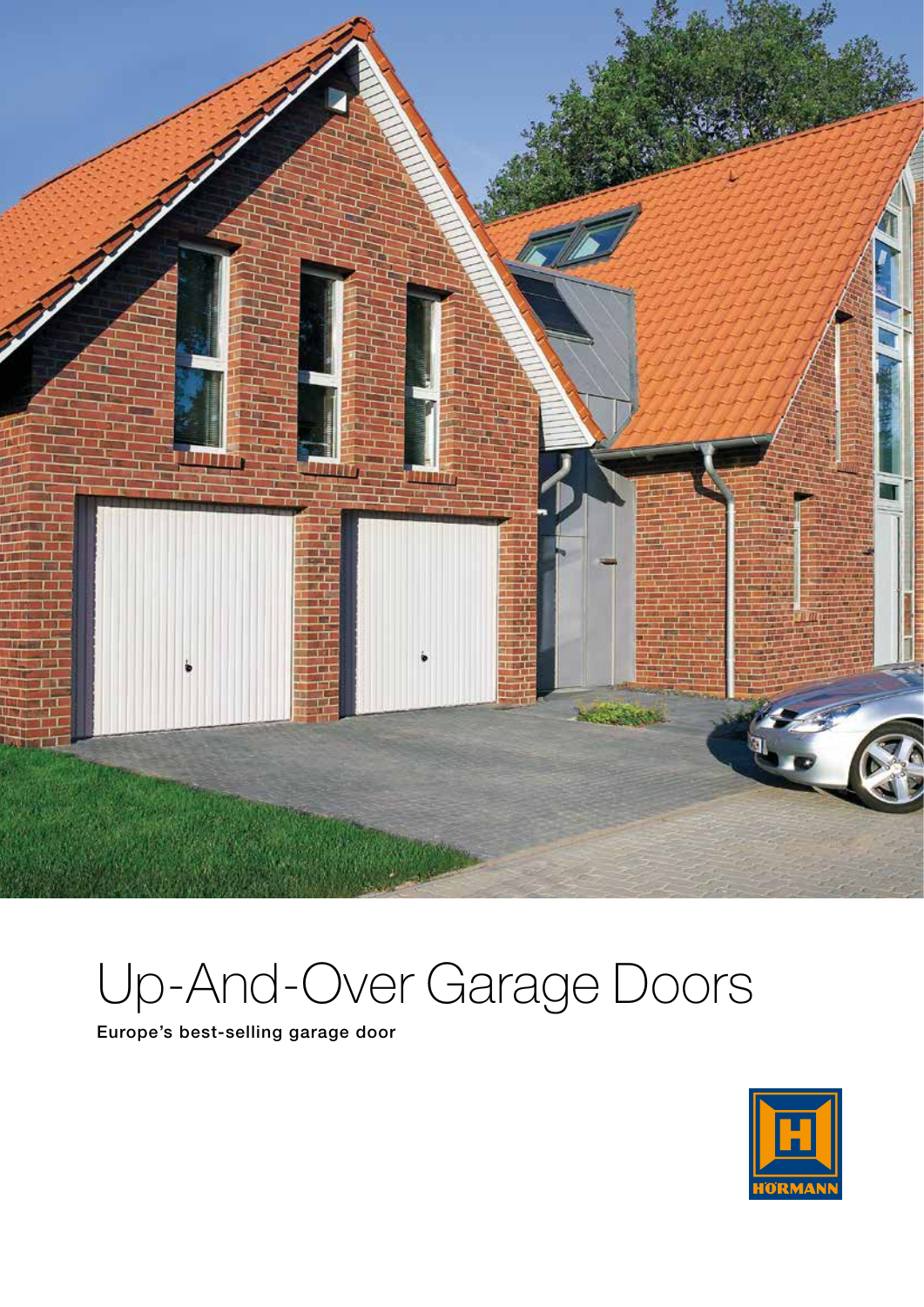

# Up-And-Over Garage Doors

Europe's best-selling garage door

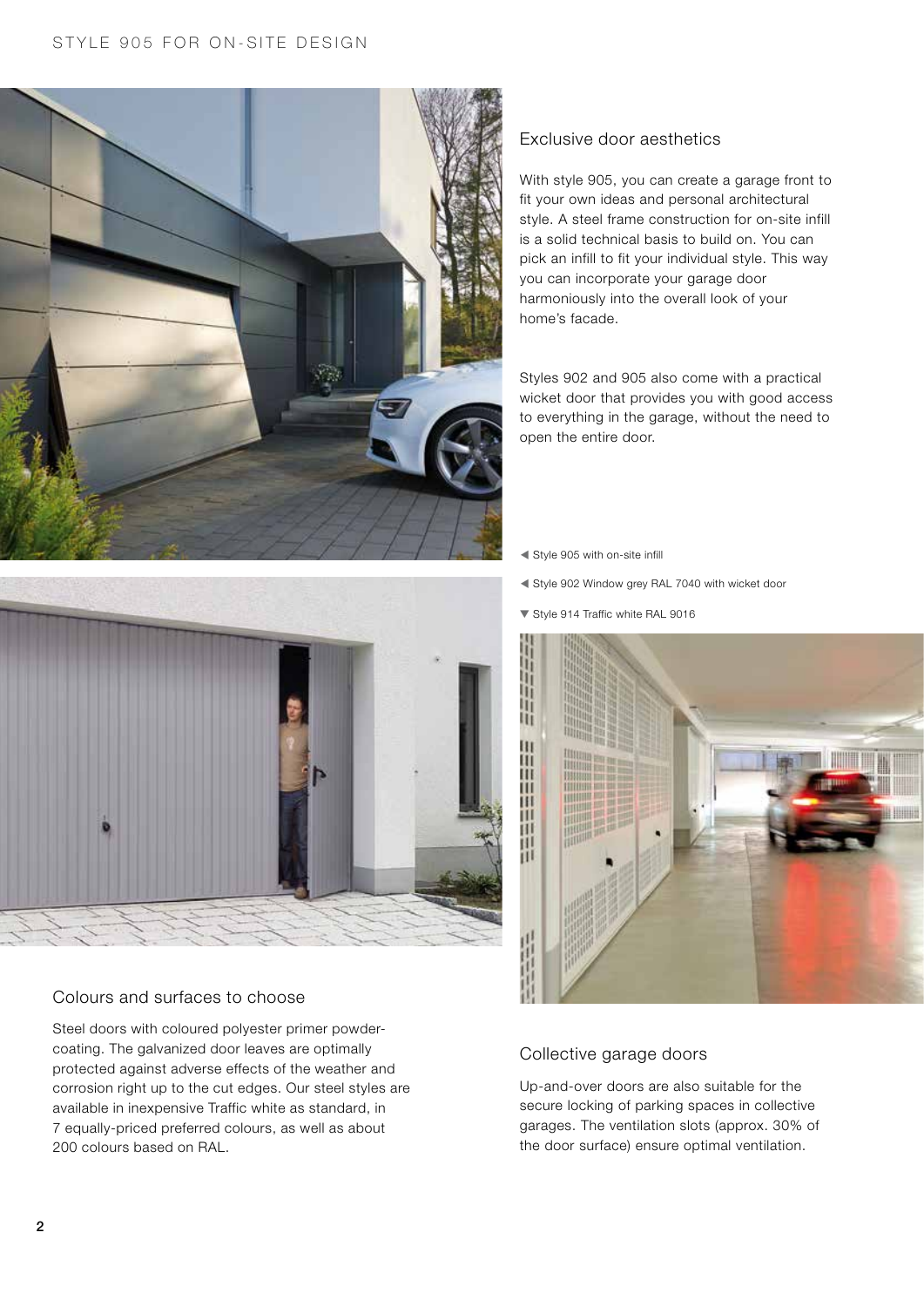# STYLE 905 FOR ON-SITE DESIGN





# Colours and surfaces to choose

Steel doors with coloured polyester primer powdercoating. The galvanized door leaves are optimally protected against adverse effects of the weather and corrosion right up to the cut edges. Our steel styles are available in inexpensive Traffic white as standard, in 7 equally-priced preferred colours, as well as about 200 colours based on RAL.

# Exclusive door aesthetics

With style 905, you can create a garage front to fit your own ideas and personal architectural style. A steel frame construction for on-site infill is a solid technical basis to build on. You can pick an infill to fit your individual style. This way you can incorporate your garage door harmoniously into the overall look of your home's facade.

Styles 902 and 905 also come with a practical wicket door that provides you with good access to everything in the garage, without the need to open the entire door.

- ◀ Style 905 with on-site infill
- ◀ Style 902 Window grey RAL 7040 with wicket door
- ▼ Style 914 Traffic white RAL 9016



# Collective garage doors

Up-and-over doors are also suitable for the secure locking of parking spaces in collective garages. The ventilation slots (approx. 30% of the door surface) ensure optimal ventilation.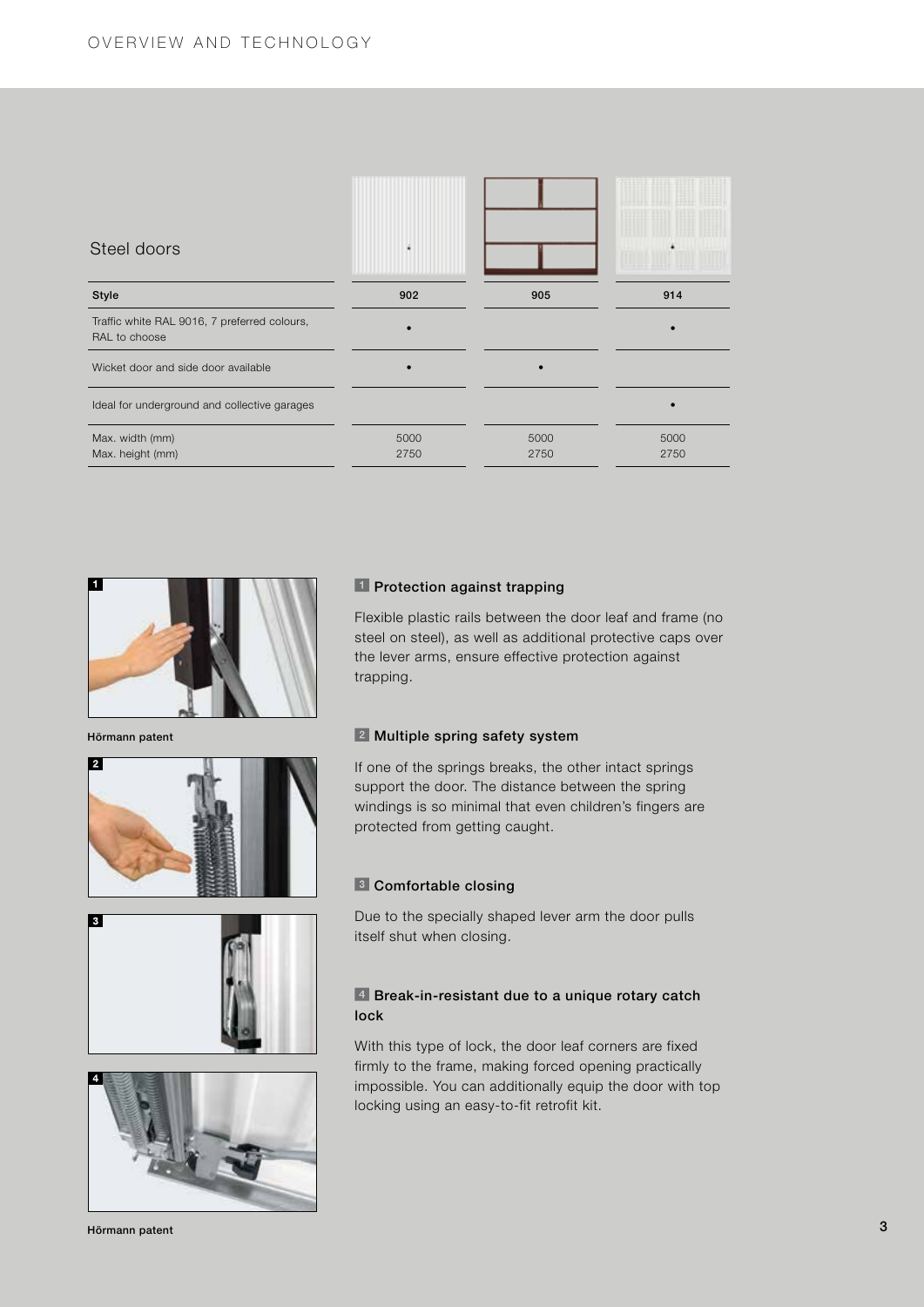



Hörmann patent







Hörmann patent

## **Protection against trapping**

Flexible plastic rails between the door leaf and frame (no steel on steel), as well as additional protective caps over the lever arms, ensure effective protection against trapping.

## **Z** Multiple spring safety system

If one of the springs breaks, the other intact springs support the door. The distance between the spring windings is so minimal that even children's fingers are protected from getting caught.

## **B** Comfortable closing

Due to the specially shaped lever arm the door pulls itself shut when closing.

## **4** Break-in-resistant due to a unique rotary catch lock

With this type of lock, the door leaf corners are fixed firmly to the frame, making forced opening practically impossible. You can additionally equip the door with top locking using an easy-to-fit retrofit kit.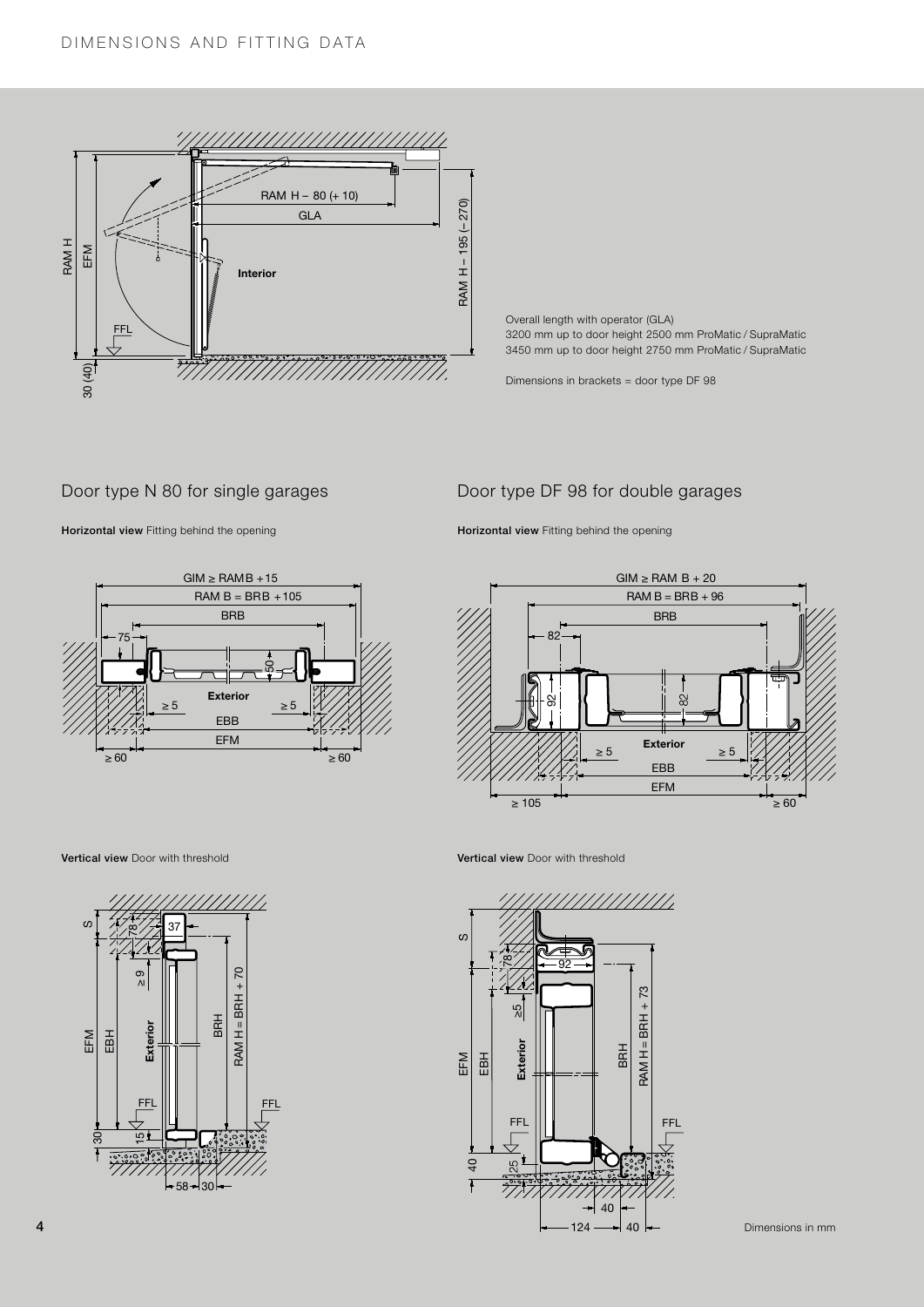

Overall length with operator (GLA) 3200 mm up to door height 2500 mm ProMatic / SupraMatic 3450 mm up to door height 2750 mm ProMatic / SupraMatic

Dimensions in brackets = door type DF 98

## Door type N 80 for single garages

Horizontal view Fitting behind the opening



# Door type DF 98 for double garages

Horizontal view Fitting behind the opening



Vertical view Door with threshold



Vertical view Door with threshold

Dimensions in mm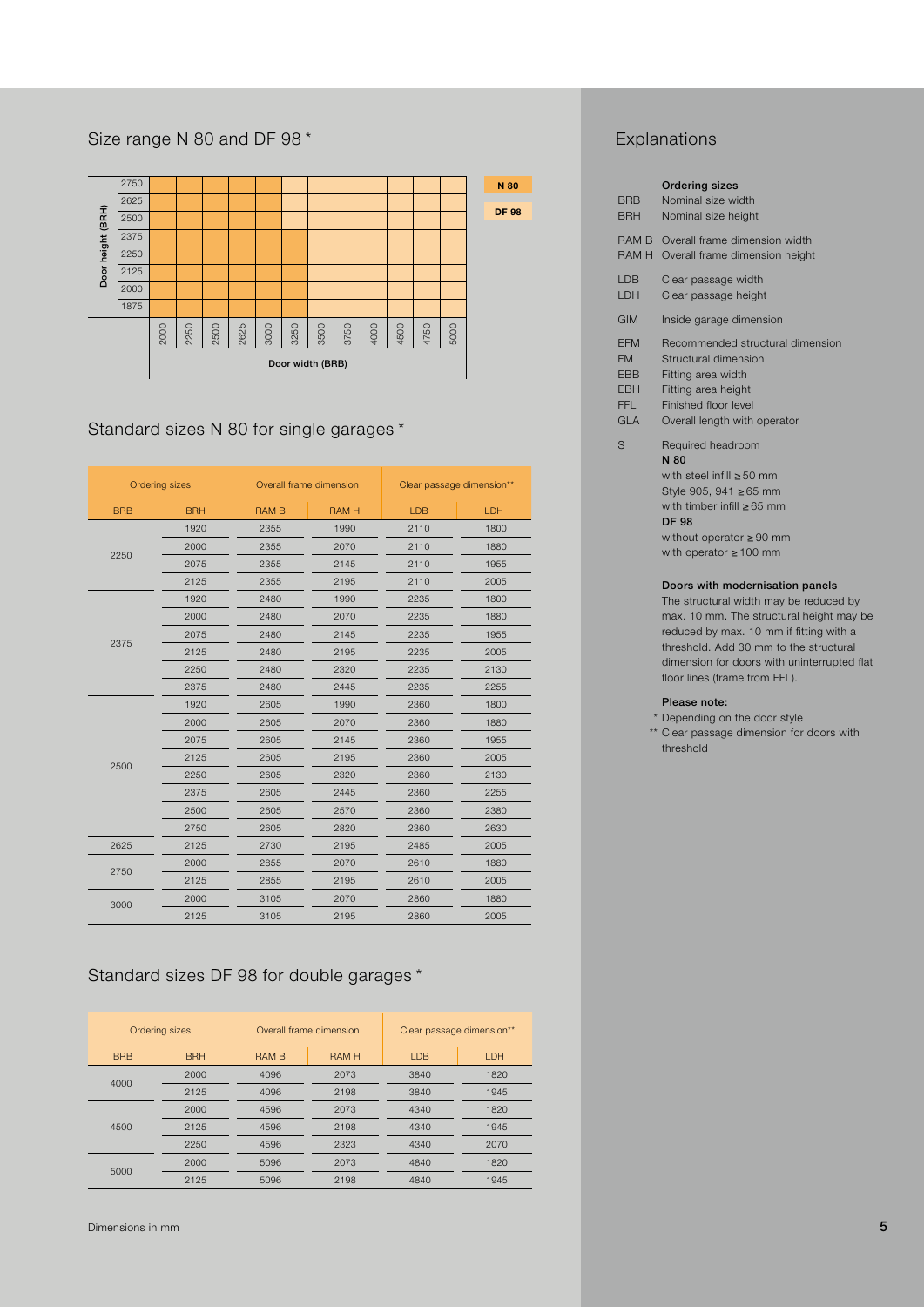# Size range N 80 and DF 98 \*



# Standard sizes N 80 for single garages \*

| Ordering sizes |            | Overall frame dimension     |      | Clear passage dimension** |      |
|----------------|------------|-----------------------------|------|---------------------------|------|
| <b>BRB</b>     | <b>BRH</b> | <b>RAM B</b><br><b>RAMH</b> |      | <b>LDB</b>                | LDH  |
|                | 1920       | 2355                        | 1990 | 2110                      | 1800 |
| 2250           | 2000       | 2355                        | 2070 | 2110                      | 1880 |
|                | 2075       | 2355                        | 2145 | 2110                      | 1955 |
|                | 2125       | 2355                        | 2195 | 2110                      | 2005 |
|                | 1920       | 2480                        | 1990 | 2235                      | 1800 |
|                | 2000       | 2480                        | 2070 | 2235                      | 1880 |
| 2375           | 2075       | 2480                        | 2145 | 2235                      | 1955 |
|                | 2125       | 2480                        | 2195 | 2235                      | 2005 |
|                | 2250       | 2480                        | 2320 | 2235                      | 2130 |
|                | 2375       | 2480                        | 2445 | 2235                      | 2255 |
|                | 1920       | 2605                        | 1990 | 2360                      | 1800 |
|                | 2000       | 2605                        | 2070 | 2360                      | 1880 |
|                | 2075       | 2605                        | 2145 | 2360                      | 1955 |
| 2500           | 2125       | 2605                        | 2195 | 2360                      | 2005 |
|                | 2250       | 2605                        | 2320 | 2360                      | 2130 |
|                | 2375       | 2605                        | 2445 | 2360                      | 2255 |
|                | 2500       | 2605                        | 2570 | 2360                      | 2380 |
|                | 2750       | 2605                        | 2820 | 2360                      | 2630 |
| 2625           | 2125       | 2730                        | 2195 | 2485                      | 2005 |
| 2750           | 2000       | 2855                        | 2070 | 2610                      | 1880 |
|                | 2125       | 2855                        | 2195 | 2610                      | 2005 |
| 3000           | 2000       | 3105                        | 2070 | 2860                      | 1880 |
|                | 2125       | 3105                        | 2195 | 2860                      | 2005 |

# Standard sizes DF 98 for double garages \*

| Ordering sizes |            | Overall frame dimension     |      | Clear passage dimension** |      |
|----------------|------------|-----------------------------|------|---------------------------|------|
| <b>BRB</b>     | <b>BRH</b> | <b>RAM B</b><br><b>RAMH</b> |      | <b>IDB</b>                | LDH  |
| 4000           | 2000       | 4096                        | 2073 | 3840                      | 1820 |
|                | 2125       | 4096                        | 2198 | 3840                      | 1945 |
| 4500           | 2000       | 4596                        | 2073 | 4340                      | 1820 |
|                | 2125       | 4596                        | 2198 | 4340                      | 1945 |
|                | 2250       | 4596                        | 2323 | 4340                      | 2070 |
| 5000           | 2000       | 5096                        | 2073 | 4840                      | 1820 |
|                | 2125       | 5096                        | 2198 | 4840                      | 1945 |

# Explanations

| <b>BRB</b><br><b>BRH</b>                                                  | <b>Ordering sizes</b><br>Nominal size width<br>Nominal size height                                                                                                                                                                                        |
|---------------------------------------------------------------------------|-----------------------------------------------------------------------------------------------------------------------------------------------------------------------------------------------------------------------------------------------------------|
| <b>RAM B</b>                                                              | Overall frame dimension width<br>RAM H Overall frame dimension height                                                                                                                                                                                     |
| LDB<br>LDH                                                                | Clear passage width<br>Clear passage height                                                                                                                                                                                                               |
| GIM                                                                       | Inside garage dimension                                                                                                                                                                                                                                   |
| <b>EFM</b><br><b>FM</b><br><b>FBB</b><br><b>EBH</b><br>FFL.<br><b>GLA</b> | Recommended structural dimension<br>Structural dimension<br>Fitting area width<br>Fitting area height<br>Finished floor level<br>Overall length with operator                                                                                             |
| S                                                                         | Required headroom<br>N 80<br>with steel infill $\geq$ 50 mm<br>Style 905, 941 ≥ 65 mm<br>with timber infill $\geq 65$ mm<br><b>DF 98</b><br>without operator $\geq 90$ mm<br>with operator $\geq 100$ mm                                                  |
|                                                                           | Doors with modernisation panels<br>The structural width may be reduced by<br>max. 10 mm. The structural height may be<br>reduced by max. 10 mm if fitting with a<br>threshold. Add 30 mm to the structural<br>dimension for doors with uninterrupted flat |

Please note:

\* Depending on the door style

floor lines (frame from FFL).

\*\* Clear passage dimension for doors with threshold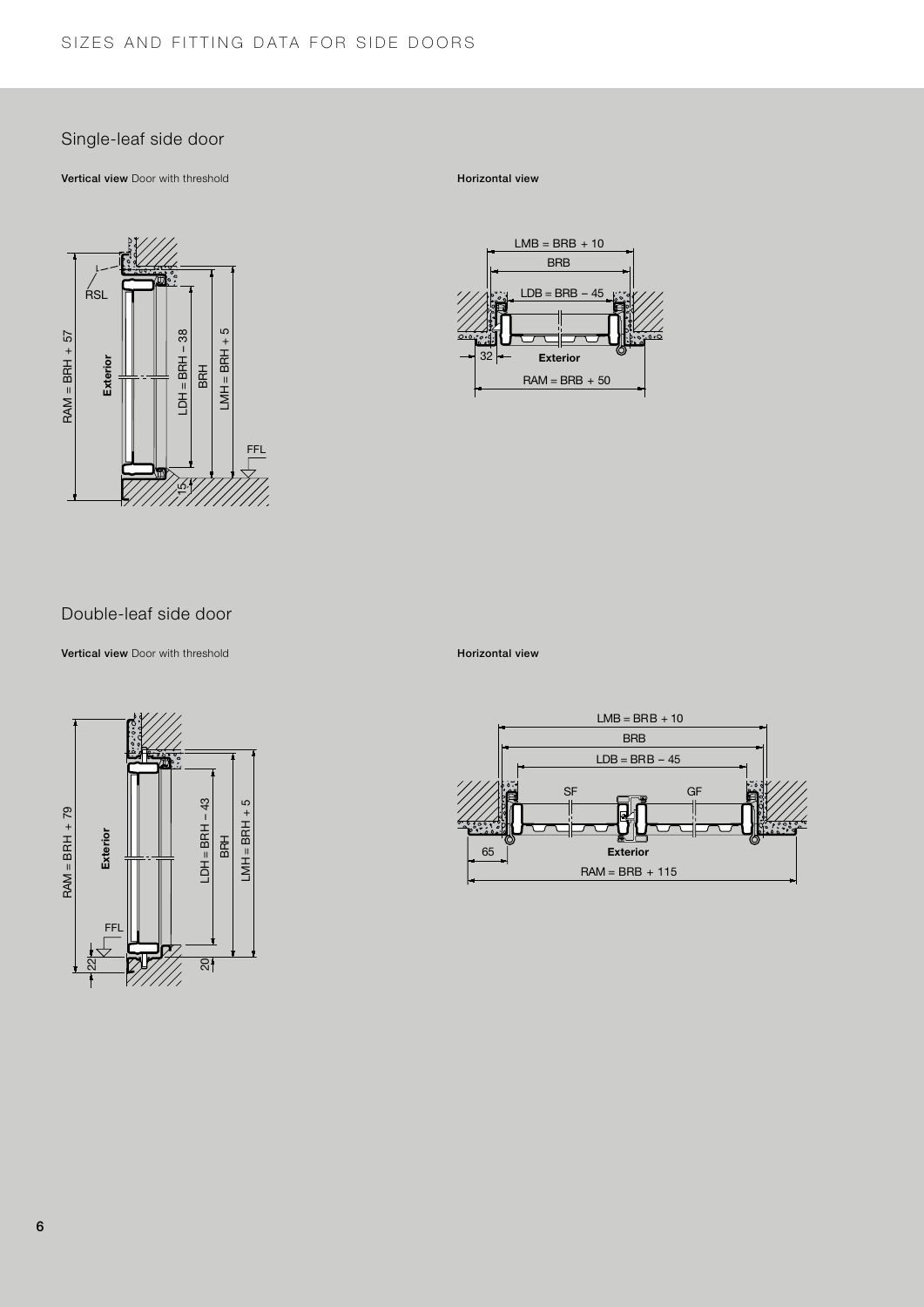# SIZES AND FITTING DATA FOR SIDE DOORS

# Single-leaf side door

Vertical view Door with threshold Horizontal view Horizontal view



 $LMB = BRB + 10$ BRB  $RAM = BRB + 50$  $LDB = BRB - 45$  $\Omega$ Exterior

## Double-leaf side door



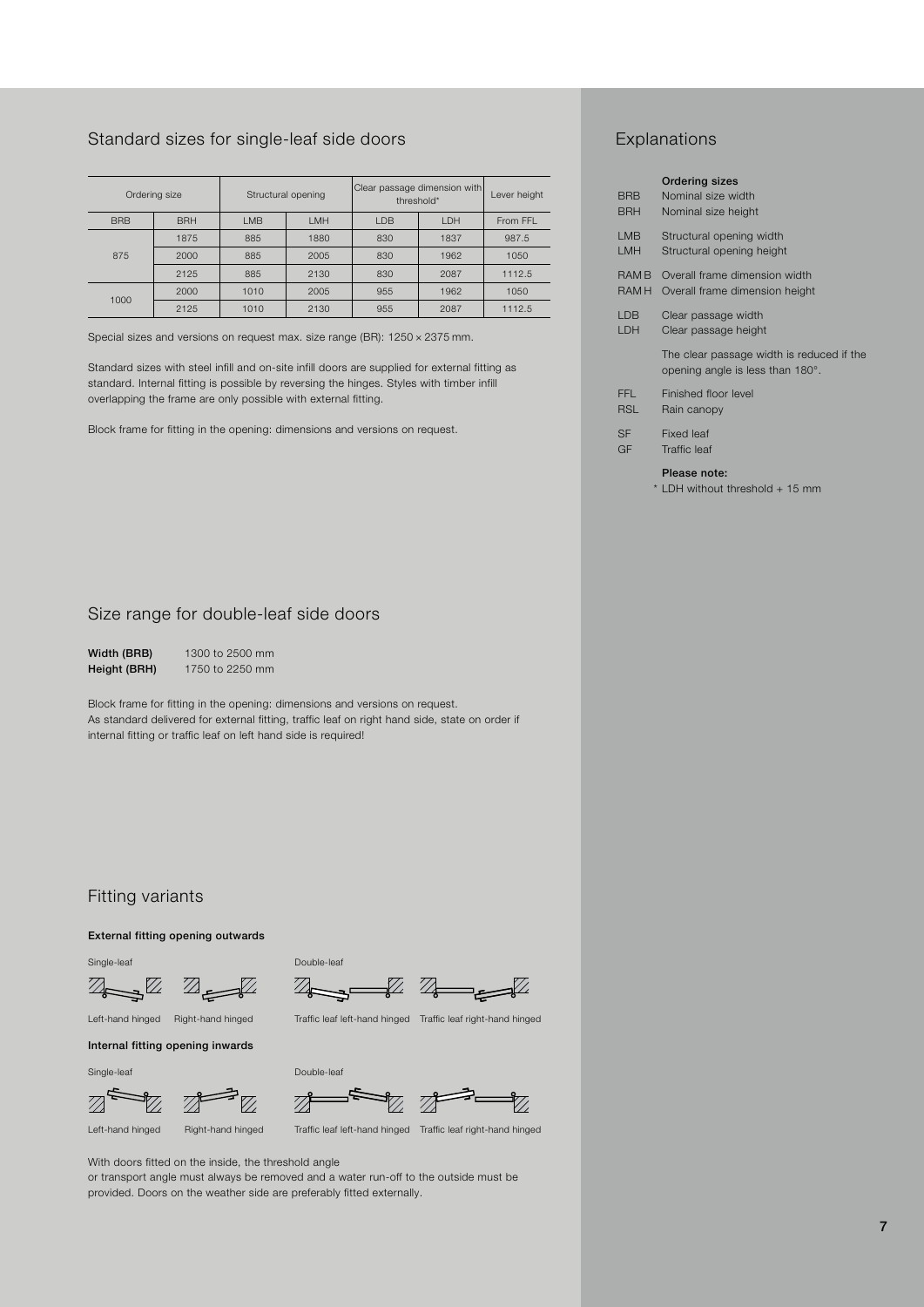# Standard sizes for single-leaf side doors

| Ordering size |            | Structural opening |      | Clear passage dimension with<br>threshold* |      | Lever height |
|---------------|------------|--------------------|------|--------------------------------------------|------|--------------|
| <b>BRB</b>    | <b>BRH</b> | <b>LMB</b>         | LMH  | LDB                                        | LDH  | From FFL     |
| 875           | 1875       | 885                | 1880 | 830                                        | 1837 | 987.5        |
|               | 2000       | 885                | 2005 | 830                                        | 1962 | 1050         |
|               | 2125       | 885                | 2130 | 830                                        | 2087 | 1112.5       |
| 1000          | 2000       | 1010               | 2005 | 955                                        | 1962 | 1050         |
|               | 2125       | 1010               | 2130 | 955                                        | 2087 | 1112.5       |

Special sizes and versions on request max. size range (BR): 1250 × 2375 mm.

Standard sizes with steel infill and on-site infill doors are supplied for external fitting as standard. Internal fitting is possible by reversing the hinges. Styles with timber infill overlapping the frame are only possible with external fitting.

Block frame for fitting in the opening: dimensions and versions on request.

## Size range for double-leaf side doors

| Width (BRB)  | 1300 to 2500 mm |
|--------------|-----------------|
| Height (BRH) | 1750 to 2250 mm |

Block frame for fitting in the opening: dimensions and versions on request. As standard delivered for external fitting, traffic leaf on right hand side, state on order if internal fitting or traffic leaf on left hand side is required!

## Fitting variants

#### External fitting opening outwards

Single-leaf Double-leaf



Left-hand hinged Right-hand hinged Traffic leaf left-hand hinged Traffic leaf right-hand hinged

#### Internal fitting opening inwards

Single-leaf Double-leaf









 $\mathbb{Z}$   $\mathbb{Z}$ 

With doors fitted on the inside, the threshold angle

or transport angle must always be removed and a water run-off to the outside must be provided. Doors on the weather side are preferably fitted externally.

# Explanations

| <b>BRB</b><br><b>BRH</b> | <b>Ordering sizes</b><br>Nominal size width<br>Nominal size height            |
|--------------------------|-------------------------------------------------------------------------------|
| <b>LMB</b>               | Structural opening width                                                      |
| LMH                      | Structural opening height                                                     |
| <b>RAMB</b>              | Overall frame dimension width                                                 |
| <b>RAMH</b>              | Overall frame dimension height                                                |
| <b>LDB</b>               | Clear passage width                                                           |
| LDH                      | Clear passage height                                                          |
|                          | The clear passage width is reduced if the<br>opening angle is less than 180°. |
| FFL.                     | Finished floor level                                                          |
| RSL                      | Rain canopy                                                                   |
| <b>SF</b>                | <b>Fixed leaf</b>                                                             |

GF Traffic leaf

#### Please note:

\* LDH without threshold + 15 mm